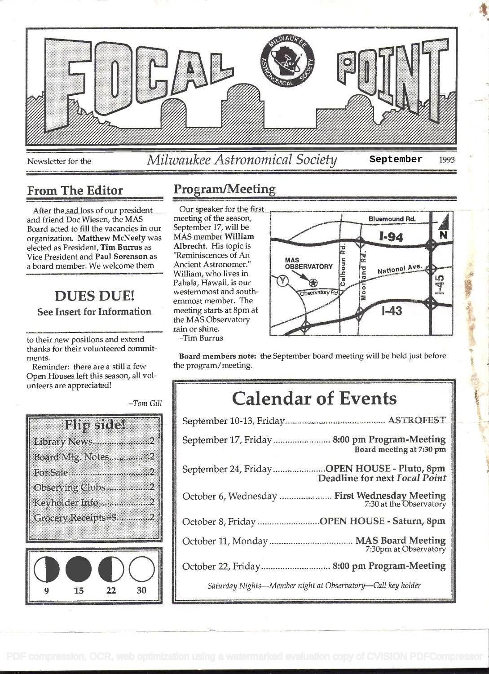

#### From The Editor

After the sad loss of our president and friend Doc Wiesen, the MAS Board acted to fill the vacancies in our organization. Matthew McNeely was elected as President, Tim Burrus as Vice President and Paul Sorenson as a board member. We welcome them Ancient Astronomer."

## DUES DUE! See Insert for Information

to their new positions and extend thanks for their volunteered commitments.

Reminder: there are a still a few Open Houses left this season, all volunteers are appreciated!

 $-Tom$  Gill



#### Program/Meeting

Our speaker for the first meeting of the season, MAS member William Albrecht. His topic is "Reminiscences of An ernmost member. The meeting starts at 8pm at the MAS Observatory rain or shine.



Tim Burrus

Board members note: the September board meeting will be held just before the program/meeting.

# Calendar of Events

| September 17, Friday 8:00 pm Program-Meeting<br>Board meeting at 7:30 pm     |  |
|------------------------------------------------------------------------------|--|
| September 24, FridayOPEN HOUSE - Pluto, 8pm<br>Deadline for next Focal Point |  |
| October 6, Wednesday  First Wednesday Meeting<br>7:30 at the Observatory     |  |
| October 8, Friday OPEN HOUSE - Saturn, 8pm                                   |  |
| 7:30pm at Observatory                                                        |  |
| October 22, Friday 8:00 pm Program-Meeting                                   |  |
| Saturday Nights-Member night at Observatory-Call key holder                  |  |